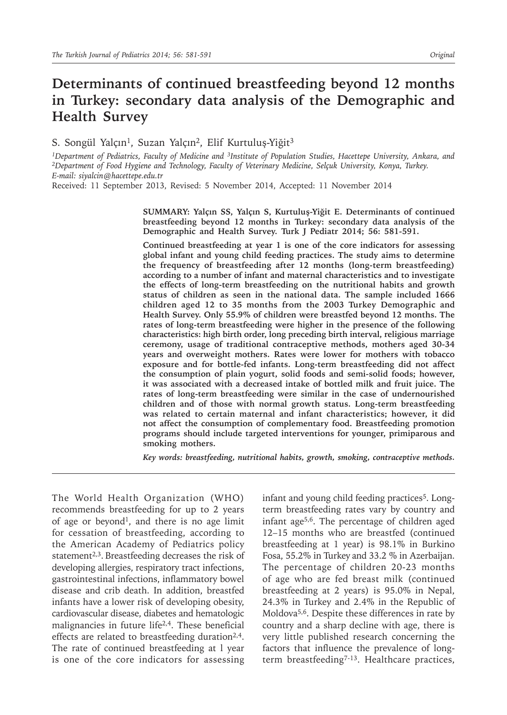# **Determinants of continued breastfeeding beyond 12 months in Turkey: secondary data analysis of the Demographic and Health Survey**

# S. Songül Yalçın<sup>1</sup>, Suzan Yalçın<sup>2</sup>, Elif Kurtuluş-Yiğit<sup>3</sup>

<sup>1</sup>Department of Pediatrics, Faculty of Medicine and <sup>3</sup>Institute of Population Studies, Hacettepe University, Ankara, and<br><sup>2</sup>Department of Food Hygiene and Technology, Faculty of Veterinary Medicine, Selçuk University, Ko *E-mail: siyalcin@hacettepe.edu.tr*

Received: 11 September 2013, Revised: 5 November 2014, Accepted: 11 November 2014

**SUMMARY: Yalçın SS, Yalçın S, Kurtuluş-Yiğit E. Determinants of continued breastfeeding beyond 12 months in Turkey: secondary data analysis of the Demographic and Health Survey. Turk J Pediatr 2014; 56: 581-591.**

**Continued breastfeeding at year 1 is one of the core indicators for assessing global infant and young child feeding practices. The study aims to determine the frequency of breastfeeding after 12 months (long-term breastfeeding) according to a number of infant and maternal characteristics and to investigate the effects of long-term breastfeeding on the nutritional habits and growth status of children as seen in the national data. The sample included 1666 children aged 12 to 35 months from the 2003 Turkey Demographic and Health Survey. Only 55.9% of children were breastfed beyond 12 months. The rates of long-term breastfeeding were higher in the presence of the following characteristics: high birth order, long preceding birth interval, religious marriage ceremony, usage of traditional contraceptive methods, mothers aged 30-34 years and overweight mothers. Rates were lower for mothers with tobacco exposure and for bottle-fed infants. Long-term breastfeeding did not affect the consumption of plain yogurt, solid foods and semi-solid foods; however, it was associated with a decreased intake of bottled milk and fruit juice. The rates of long-term breastfeeding were similar in the case of undernourished children and of those with normal growth status. Long-term breastfeeding was related to certain maternal and infant characteristics; however, it did not affect the consumption of complementary food. Breastfeeding promotion programs should include targeted interventions for younger, primiparous and smoking mothers.** 

*Key words: breastfeeding, nutritional habits, growth, smoking, contraceptive methods.*

The World Health Organization (WHO) recommends breastfeeding for up to 2 years of age or beyond<sup>1</sup>, and there is no age limit for cessation of breastfeeding, according to the American Academy of Pediatrics policy statement<sup>2,3</sup>. Breastfeeding decreases the risk of developing allergies, respiratory tract infections, gastrointestinal infections, inflammatory bowel disease and crib death. In addition, breastfed infants have a lower risk of developing obesity, cardiovascular disease, diabetes and hematologic malignancies in future life2,4. These beneficial effects are related to breastfeeding duration $2.4$ . The rate of continued breastfeeding at l year is one of the core indicators for assessing

infant and young child feeding practices<sup>5</sup>. Longterm breastfeeding rates vary by country and infant age5,6. The percentage of children aged 12–15 months who are breastfed (continued breastfeeding at 1 year) is 98.1% in Burkino Fosa, 55.2% in Turkey and 33.2 % in Azerbaijan. The percentage of children 20-23 months of age who are fed breast milk (continued breastfeeding at 2 years) is 95.0% in Nepal, 24.3% in Turkey and 2.4% in the Republic of Moldova5,6. Despite these differences in rate by country and a sharp decline with age, there is very little published research concerning the factors that influence the prevalence of longterm breastfeeding<sup>7-13</sup>. Healthcare practices,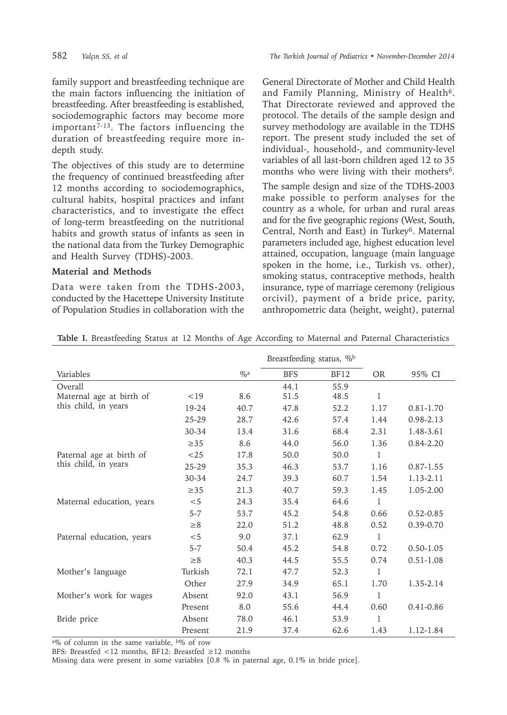family support and breastfeeding technique are the main factors influencing the initiation of breastfeeding. After breastfeeding is established, sociodemographic factors may become more important $7-13$ . The factors influencing the duration of breastfeeding require more indepth study.

The objectives of this study are to determine the frequency of continued breastfeeding after 12 months according to sociodemographics, cultural habits, hospital practices and infant characteristics, and to investigate the effect of long-term breastfeeding on the nutritional habits and growth status of infants as seen in the national data from the Turkey Demographic and Health Survey (TDHS)-2003.

# **Material and Methods**

Data were taken from the TDHS-2003, conducted by the Hacettepe University Institute of Population Studies in collaboration with the General Directorate of Mother and Child Health and Family Planning, Ministry of Health<sup>6</sup>. That Directorate reviewed and approved the protocol. The details of the sample design and survey methodology are available in the TDHS report. The present study included the set of individual-, household-, and community-level variables of all last-born children aged 12 to 35 months who were living with their mothers<sup>6</sup>.

The sample design and size of the TDHS-2003 make possible to perform analyses for the country as a whole, for urban and rural areas and for the five geographic regions (West, South, Central, North and East) in Turkey<sup>6</sup>. Maternal parameters included age, highest education level attained, occupation, language (main language spoken in the home, i.e., Turkish vs. other), smoking status, contraceptive methods, health insurance, type of marriage ceremony (religious orcivil), payment of a bride price, parity, anthropometric data (height, weight), paternal

|                           |           |       | Breastfeeding status, % <sup>b</sup> |             |              |               |  |
|---------------------------|-----------|-------|--------------------------------------|-------------|--------------|---------------|--|
| Variables                 |           | $\%a$ | <b>BFS</b>                           | <b>BF12</b> | <b>OR</b>    | 95% CI        |  |
| Overall                   |           |       | 44.1                                 | 55.9        |              |               |  |
| Maternal age at birth of  | <19       | 8.6   | 51.5                                 | 48.5        | 1            |               |  |
| this child, in years      | $19 - 24$ | 40.7  | 47.8                                 | 52.2        | 1.17         | $0.81 - 1.70$ |  |
|                           | $25 - 29$ | 28.7  | 42.6                                 | 57.4        | 1.44         | $0.98 - 2.13$ |  |
|                           | 30-34     | 13.4  | 31.6                                 | 68.4        | 2.31         | 1.48-3.61     |  |
|                           | $\geq$ 35 | 8.6   | 44.0                                 | 56.0        | 1.36         | 0.84-2.20     |  |
| Paternal age at birth of  | < 25      | 17.8  | 50.0                                 | 50.0        | 1            |               |  |
| this child, in years      | 25-29     | 35.3  | 46.3                                 | 53.7        | 1.16         | $0.87 - 1.55$ |  |
|                           | 30-34     | 24.7  | 39.3                                 | 60.7        | 1.54         | 1.13-2.11     |  |
|                           | $\geq$ 35 | 21.3  | 40.7                                 | 59.3        | 1.45         | 1.05-2.00     |  |
| Maternal education, years | $<$ 5     | 24.3  | 35.4                                 | 64.6        | 1            |               |  |
|                           | $5 - 7$   | 53.7  | 45.2                                 | 54.8        | 0.66         | $0.52 - 0.85$ |  |
|                           | $\geq 8$  | 22.0  | 51.2                                 | 48.8        | 0.52         | $0.39 - 0.70$ |  |
| Paternal education, years | $<$ 5     | 9.0   | 37.1                                 | 62.9        | $\mathbf{1}$ |               |  |
|                           | $5 - 7$   | 50.4  | 45.2                                 | 54.8        | 0.72         | $0.50 - 1.05$ |  |
|                           | $\geq 8$  | 40.3  | 44.5                                 | 55.5        | 0.74         | $0.51 - 1.08$ |  |
| Mother's language         | Turkish   | 72.1  | 47.7                                 | 52.3        | 1            |               |  |
|                           | Other     | 27.9  | 34.9                                 | 65.1        | 1.70         | 1.35-2.14     |  |
| Mother's work for wages   | Absent    | 92.0  | 43.1                                 | 56.9        | 1            |               |  |
|                           | Present   | 8.0   | 55.6                                 | 44.4        | 0.60         | $0.41 - 0.86$ |  |
| Bride price               | Absent    | 78.0  | 46.1                                 | 53.9        | 1            |               |  |
|                           | Present   | 21.9  | 37.4                                 | 62.6        | 1.43         | 1.12-1.84     |  |

**Table I.** Breastfeeding Status at 12 Months of Age According to Maternal and Paternal Characteristics

a% of column in the same variable, b% of row

BFS: Breastfed <12 months, BF12: Breastfed ≥12 months

Missing data were present in some variables [0.8 % in paternal age, 0.1% in bride price].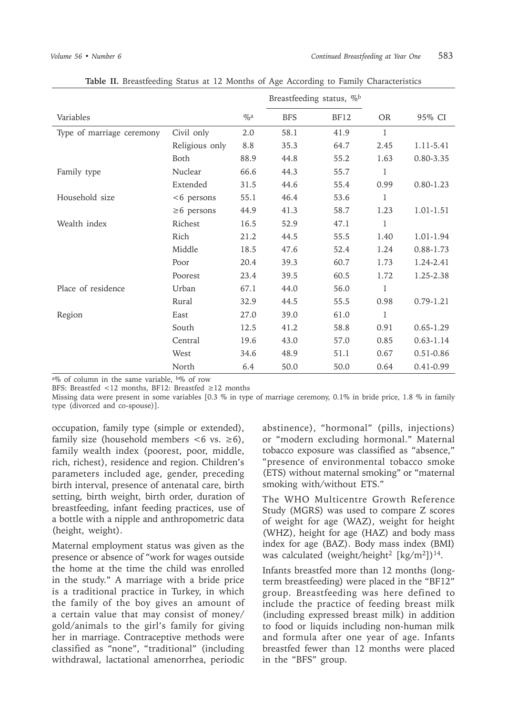|                           |                  |       | Breastfeeding status, % <sup>b</sup> |             |              |               |
|---------------------------|------------------|-------|--------------------------------------|-------------|--------------|---------------|
| Variables                 |                  | $\%a$ | <b>BFS</b>                           | <b>BF12</b> | <b>OR</b>    | 95% CI        |
| Type of marriage ceremony | Civil only       | 2.0   | 58.1                                 | 41.9        | $\mathbf{1}$ |               |
|                           | Religious only   | 8.8   | 35.3                                 | 64.7        | 2.45         | 1.11-5.41     |
|                           | Both             | 88.9  | 44.8                                 | 55.2        | 1.63         | 0.80-3.35     |
| Family type               | Nuclear          | 66.6  | 44.3                                 | 55.7        | 1            |               |
|                           | Extended         | 31.5  | 44.6                                 | 55.4        | 0.99         | $0.80 - 1.23$ |
| Household size            | <6 persons       | 55.1  | 46.4                                 | 53.6        | 1            |               |
|                           | $\geq 6$ persons | 44.9  | 41.3                                 | 58.7        | 1.23         | 1.01-1.51     |
| Wealth index              | Richest          | 16.5  | 52.9                                 | 47.1        | $\mathbf{1}$ |               |
|                           | Rich             | 21.2  | 44.5                                 | 55.5        | 1.40         | 1.01-1.94     |
|                           | Middle           | 18.5  | 47.6                                 | 52.4        | 1.24         | $0.88 - 1.73$ |
|                           | Poor             | 20.4  | 39.3                                 | 60.7        | 1.73         | 1.24-2.41     |
|                           | Poorest          | 23.4  | 39.5                                 | 60.5        | 1.72         | 1.25-2.38     |
| Place of residence        | Urban            | 67.1  | 44.0                                 | 56.0        | 1            |               |
|                           | Rural            | 32.9  | 44.5                                 | 55.5        | 0.98         | $0.79 - 1.21$ |
| Region                    | East             | 27.0  | 39.0                                 | 61.0        | 1            |               |
|                           | South            | 12.5  | 41.2                                 | 58.8        | 0.91         | $0.65 - 1.29$ |
|                           | Central          | 19.6  | 43.0                                 | 57.0        | 0.85         | $0.63 - 1.14$ |
|                           | West             | 34.6  | 48.9                                 | 51.1        | 0.67         | $0.51 - 0.86$ |
|                           | North            | 6.4   | 50.0                                 | 50.0        | 0.64         | 0.41-0.99     |

**Table II.** Breastfeeding Status at 12 Months of Age According to Family Characteristics

 $a\%$  of column in the same variable,  $b\%$  of row

BFS: Breastfed <12 months, BF12: Breastfed ≥12 months

Missing data were present in some variables [0.3 % in type of marriage ceremony, 0.1% in bride price, 1.8 % in family type (divorced and co-spouse)].

occupation, family type (simple or extended), family size (household members  $<6$  vs.  $\geq 6$ ), family wealth index (poorest, poor, middle, rich, richest), residence and region. Children's parameters included age, gender, preceding birth interval, presence of antenatal care, birth setting, birth weight, birth order, duration of breastfeeding, infant feeding practices, use of a bottle with a nipple and anthropometric data (height, weight).

Maternal employment status was given as the presence or absence of "work for wages outside the home at the time the child was enrolled in the study." A marriage with a bride price is a traditional practice in Turkey, in which the family of the boy gives an amount of a certain value that may consist of money/ gold/animals to the girl's family for giving her in marriage. Contraceptive methods were classified as "none", "traditional" (including withdrawal, lactational amenorrhea, periodic

abstinence), "hormonal" (pills, injections) or "modern excluding hormonal." Maternal tobacco exposure was classified as "absence," "presence of environmental tobacco smoke (ETS) without maternal smoking" or "maternal smoking with/without ETS."

The WHO Multicentre Growth Reference Study (MGRS) was used to compare Z scores of weight for age (WAZ), weight for height (WHZ), height for age (HAZ) and body mass index for age (BAZ). Body mass index (BMI) was calculated (weight/height<sup>2</sup> [kg/m<sup>2</sup>])<sup>14</sup>.

Infants breastfed more than 12 months (longterm breastfeeding) were placed in the "BF12" group. Breastfeeding was here defined to include the practice of feeding breast milk (including expressed breast milk) in addition to food or liquids including non-human milk and formula after one year of age. Infants breastfed fewer than 12 months were placed in the "BFS" group.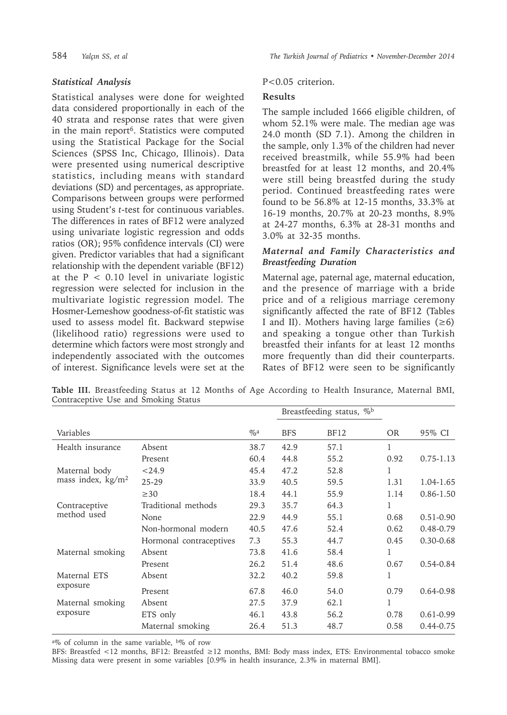# *Statistical Analysis*

Statistical analyses were done for weighted data considered proportionally in each of the 40 strata and response rates that were given in the main report<sup>6</sup>. Statistics were computed using the Statistical Package for the Social Sciences (SPSS Inc, Chicago, Illinois). Data were presented using numerical descriptive statistics, including means with standard deviations (SD) and percentages, as appropriate. Comparisons between groups were performed using Student's *t*-test for continuous variables. The differences in rates of BF12 were analyzed using univariate logistic regression and odds ratios (OR); 95% confidence intervals (CI) were given. Predictor variables that had a significant relationship with the dependent variable (BF12) at the  $P < 0.10$  level in univariate logistic regression were selected for inclusion in the multivariate logistic regression model. The Hosmer-Lemeshow goodness-of-fit statistic was used to assess model fit. Backward stepwise (likelihood ratio) regressions were used to determine which factors were most strongly and independently associated with the outcomes of interest. Significance levels were set at the

# P<0.05 criterion.

# **Results**

The sample included 1666 eligible children, of whom 52.1% were male. The median age was 24.0 month (SD 7.1). Among the children in the sample, only 1.3% of the children had never received breastmilk, while 55.9% had been breastfed for at least 12 months, and 20.4% were still being breastfed during the study period. Continued breastfeeding rates were found to be 56.8% at 12-15 months, 33.3% at 16-19 months, 20.7% at 20-23 months, 8.9% at 24-27 months, 6.3% at 28-31 months and 3.0% at 32-35 months.

# *Maternal and Family Characteristics and Breastfeeding Duration*

Maternal age, paternal age, maternal education, and the presence of marriage with a bride price and of a religious marriage ceremony significantly affected the rate of BF12 (Tables I and II). Mothers having large families  $(\geq 6)$ and speaking a tongue other than Turkish breastfed their infants for at least 12 months more frequently than did their counterparts. Rates of BF12 were seen to be significantly

**Table III.** Breastfeeding Status at 12 Months of Age According to Health Insurance, Maternal BMI, Contraceptive Use and Smoking Status

|                              |                         |       | Breastfeeding status, % <sup>b</sup> |      |           |               |
|------------------------------|-------------------------|-------|--------------------------------------|------|-----------|---------------|
| Variables                    |                         | $\%a$ | <b>BFS</b>                           | BF12 | <b>OR</b> | 95% CI        |
| Health insurance             | Absent                  | 38.7  | 42.9                                 | 57.1 | 1         |               |
|                              | Present                 | 60.4  | 44.8                                 | 55.2 | 0.92      | $0.75 - 1.13$ |
| Maternal body                | < 24.9                  | 45.4  | 47.2                                 | 52.8 | 1         |               |
| mass index, $\text{kg/m}^2$  | 25-29                   | 33.9  | 40.5                                 | 59.5 | 1.31      | 1.04-1.65     |
|                              | $\geq$ 30               | 18.4  | 44.1                                 | 55.9 | 1.14      | $0.86 - 1.50$ |
| Contraceptive                | Traditional methods     | 29.3  | 35.7                                 | 64.3 | 1         |               |
| method used                  | None                    | 22.9  | 44.9                                 | 55.1 | 0.68      | $0.51 - 0.90$ |
|                              | Non-hormonal modern     | 40.5  | 47.6                                 | 52.4 | 0.62      | 0.48-0.79     |
|                              | Hormonal contraceptives | 7.3   | 55.3                                 | 44.7 | 0.45      | $0.30 - 0.68$ |
| Maternal smoking             | Absent                  | 73.8  | 41.6                                 | 58.4 | 1         |               |
|                              | Present                 | 26.2  | 51.4                                 | 48.6 | 0.67      | 0.54-0.84     |
| Maternal ETS<br>exposure     | Absent                  | 32.2  | 40.2                                 | 59.8 | 1         |               |
|                              | Present                 | 67.8  | 46.0                                 | 54.0 | 0.79      | 0.64-0.98     |
| Maternal smoking<br>exposure | Absent                  | 27.5  | 37.9                                 | 62.1 | 1         |               |
|                              | ETS only                | 46.1  | 43.8                                 | 56.2 | 0.78      | $0.61 - 0.99$ |
|                              | Maternal smoking        | 26.4  | 51.3                                 | 48.7 | 0.58      | 0.44-0.75     |

a% of column in the same variable, b% of row

BFS: Breastfed <12 months, BF12: Breastfed ≥12 months, BMI: Body mass index, ETS: Environmental tobacco smoke Missing data were present in some variables [0.9% in health insurance, 2.3% in maternal BMI].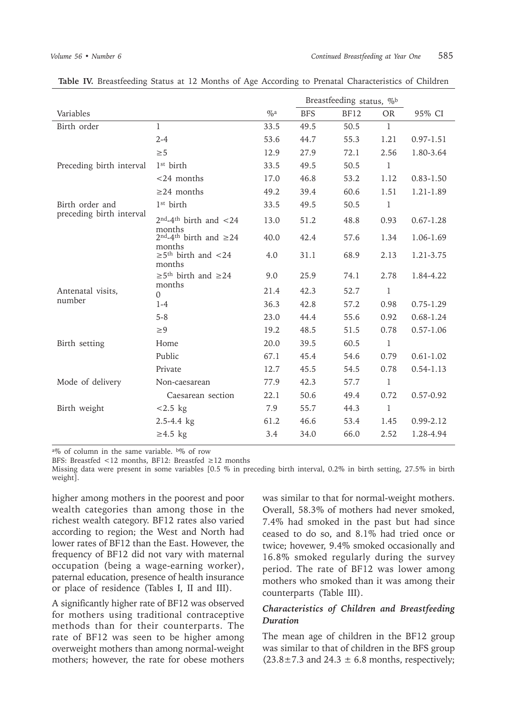|                             |                                                           | Breastfeeding status, %b |            |             |              |               |
|-----------------------------|-----------------------------------------------------------|--------------------------|------------|-------------|--------------|---------------|
| Variables                   |                                                           | $\%a$                    | <b>BFS</b> | <b>BF12</b> | <b>OR</b>    | 95% CI        |
| Birth order                 | $\mathbf{1}$                                              | 33.5                     | 49.5       | 50.5        | 1            |               |
|                             | $2 - 4$                                                   | 53.6                     | 44.7       | 55.3        | 1.21         | $0.97 - 1.51$ |
|                             | $\geq 5$                                                  | 12.9                     | 27.9       | 72.1        | 2.56         | 1.80-3.64     |
| Preceding birth interval    | $1st$ birth                                               | 33.5                     | 49.5       | 50.5        | $\mathbf{1}$ |               |
|                             | $<$ 24 months                                             | 17.0                     | 46.8       | 53.2        | 1.12         | $0.83 - 1.50$ |
|                             | $\geq$ 24 months                                          | 49.2                     | 39.4       | 60.6        | 1.51         | 1.21-1.89     |
| Birth order and             | 1 <sup>st</sup> birth                                     | 33.5                     | 49.5       | 50.5        | 1            |               |
| preceding birth interval    | $2^{nd} - 4^{th}$ birth and <24                           | 13.0                     | 51.2       | 48.8        | 0.93         | $0.67 - 1.28$ |
|                             | months<br>$2^{nd} - 4^{th}$ birth and $\geq 24$<br>months | 40.0                     | 42.4       | 57.6        | 1.34         | 1.06-1.69     |
|                             | $\geq 5$ <sup>th</sup> birth and <24<br>months            | 4.0                      | 31.1       | 68.9        | 2.13         | 1.21-3.75     |
|                             | $\geq 5$ <sup>th</sup> birth and $\geq 24$                | 9.0                      | 25.9       | 74.1        | 2.78         | 1.84-4.22     |
| Antenatal visits,<br>number | months<br>$\Omega$                                        | 21.4                     | 42.3       | 52.7        | 1            |               |
|                             | $1 - 4$                                                   | 36.3                     | 42.8       | 57.2        | 0.98         | $0.75 - 1.29$ |
|                             | $5 - 8$                                                   | 23.0                     | 44.4       | 55.6        | 0.92         | $0.68 - 1.24$ |
|                             | $\geq 9$                                                  | 19.2                     | 48.5       | 51.5        | 0.78         | $0.57 - 1.06$ |
| Birth setting               | Home                                                      | 20.0                     | 39.5       | 60.5        | 1            |               |
|                             | Public                                                    | 67.1                     | 45.4       | 54.6        | 0.79         | $0.61 - 1.02$ |
|                             | Private                                                   | 12.7                     | 45.5       | 54.5        | 0.78         | $0.54 - 1.13$ |
| Mode of delivery            | Non-caesarean                                             | 77.9                     | 42.3       | 57.7        | 1            |               |
|                             | Caesarean section                                         | 22.1                     | 50.6       | 49.4        | 0.72         | 0.57-0.92     |
| Birth weight                | $< 2.5$ kg                                                | 7.9                      | 55.7       | 44.3        | 1            |               |
|                             | $2.5 - 4.4$ kg                                            | 61.2                     | 46.6       | 53.4        | 1.45         | $0.99 - 2.12$ |
|                             | $\geq$ 4.5 kg                                             | 3.4                      | 34.0       | 66.0        | 2.52         | 1.28-4.94     |

**Table IV.** Breastfeeding Status at 12 Months of Age According to Prenatal Characteristics of Children

 $a\%$  of column in the same variable.  $b\%$  of row

BFS: Breastfed <12 months, BF12: Breastfed ≥12 months

Missing data were present in some variables [0.5 % in preceding birth interval, 0.2% in birth setting, 27.5% in birth weight].

higher among mothers in the poorest and poor wealth categories than among those in the richest wealth category. BF12 rates also varied according to region; the West and North had lower rates of BF12 than the East. However, the frequency of BF12 did not vary with maternal occupation (being a wage-earning worker), paternal education, presence of health insurance or place of residence (Tables I, II and III).

A significantly higher rate of BF12 was observed for mothers using traditional contraceptive methods than for their counterparts. The rate of BF12 was seen to be higher among overweight mothers than among normal-weight mothers; however, the rate for obese mothers was similar to that for normal-weight mothers. Overall, 58.3% of mothers had never smoked, 7.4% had smoked in the past but had since ceased to do so, and 8.1% had tried once or twice; hovewer, 9.4% smoked occasionally and 16.8% smoked regularly during the survey period. The rate of BF12 was lower among mothers who smoked than it was among their counterparts (Table III).

# *Characteristics of Children and Breastfeeding Duration*

The mean age of children in the BF12 group was similar to that of children in the BFS group  $(23.8 \pm 7.3 \text{ and } 24.3 \pm 6.8 \text{ months}, \text{respectively};$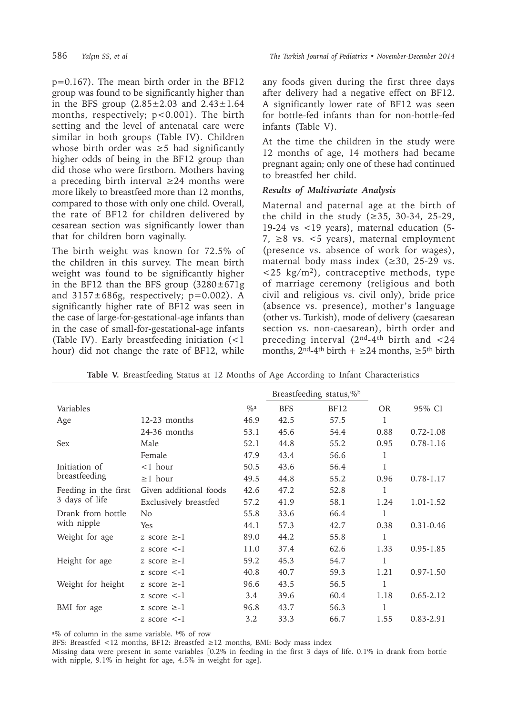p=0.167). The mean birth order in the BF12 group was found to be significantly higher than in the BFS group  $(2.85 \pm 2.03)$  and  $2.43 \pm 1.64$ months, respectively; p<0.001). The birth setting and the level of antenatal care were similar in both groups (Table IV). Children whose birth order was ≥5 had significantly higher odds of being in the BF12 group than did those who were firstborn. Mothers having a preceding birth interval  $\geq 24$  months were more likely to breastfeed more than 12 months, compared to those with only one child. Overall, the rate of BF12 for children delivered by cesarean section was significantly lower than that for children born vaginally.

The birth weight was known for 72.5% of the children in this survey. The mean birth weight was found to be significantly higher in the BF12 than the BFS group  $(3280 \pm 671)$ g and  $3157 \pm 686$ g, respectively; p=0.002). A significantly higher rate of BF12 was seen in the case of large-for-gestational-age infants than in the case of small-for-gestational-age infants (Table IV). Early breastfeeding initiation (<1 hour) did not change the rate of BF12, while

any foods given during the first three days after delivery had a negative effect on BF12. A significantly lower rate of BF12 was seen for bottle-fed infants than for non-bottle-fed infants (Table V).

At the time the children in the study were 12 months of age, 14 mothers had became pregnant again; only one of these had continued to breastfed her child.

# *Results of Multivariate Analysis*

Maternal and paternal age at the birth of the child in the study  $(\geq 35, 30-34, 25-29,$ 19-24 vs <19 years), maternal education (5- 7, ≥8 vs.  $<$ 5 years), maternal employment (presence vs. absence of work for wages), maternal body mass index (≥30, 25-29 vs.  $\langle 25 \text{ kg/m}^2 \rangle$ , contraceptive methods, type of marriage ceremony (religious and both civil and religious vs. civil only), bride price (absence vs. presence), mother's language (other vs. Turkish), mode of delivery (caesarean section vs. non-caesarean), birth order and preceding interval  $(2^{nd} - 4^{th})$  birth and  $< 24$ months,  $2^{nd}$ -4<sup>th</sup> birth +  $\geq$ 24 months,  $\geq$ 5<sup>th</sup> birth

|                        |       | Breastfeeding status,% <sup>b</sup> |             |           |               |
|------------------------|-------|-------------------------------------|-------------|-----------|---------------|
|                        | $\%a$ | <b>BFS</b>                          | <b>BF12</b> | <b>OR</b> | 95% CI        |
| 12-23 months           | 46.9  | 42.5                                | 57.5        | 1         |               |
| 24-36 months           | 53.1  | 45.6                                | 54.4        | 0.88      | $0.72 - 1.08$ |
| Male                   | 52.1  | 44.8                                | 55.2        | 0.95      | $0.78 - 1.16$ |
| Female                 | 47.9  | 43.4                                | 56.6        | 1         |               |
| $<$ 1 hour             | 50.5  | 43.6                                | 56.4        | 1         |               |
| $\geq$ 1 hour          | 49.5  | 44.8                                | 55.2        | 0.96      | $0.78 - 1.17$ |
| Given additional foods | 42.6  | 47.2                                | 52.8        | 1         |               |
| Exclusively breastfed  | 57.2  | 41.9                                | 58.1        | 1.24      | 1.01-1.52     |
| N <sub>o</sub>         | 55.8  | 33.6                                | 66.4        | 1         |               |
| Yes                    | 44.1  | 57.3                                | 42.7        | 0.38      | $0.31 - 0.46$ |
| z score $\geq$ -1      | 89.0  | 44.2                                | 55.8        | 1         |               |
| z score $\lt$ -1       | 11.0  | 37.4                                | 62.6        | 1.33      | $0.95 - 1.85$ |
| z score $\geq$ -1      | 59.2  | 45.3                                | 54.7        | 1         |               |
| $z$ score $\lt$ -1     | 40.8  | 40.7                                | 59.3        | 1.21      | $0.97 - 1.50$ |
| z score $\geq -1$      | 96.6  | 43.5                                | 56.5        | 1         |               |
| $z$ score $\lt$ -1     | 3.4   | 39.6                                | 60.4        | 1.18      | $0.65 - 2.12$ |
| z score $\ge$ -1       | 96.8  | 43.7                                | 56.3        | 1         |               |
| z score $\lt$ -1       | 3.2   | 33.3                                | 66.7        | 1.55      | $0.83 - 2.91$ |
|                        |       |                                     |             |           |               |

**Table V.** Breastfeeding Status at 12 Months of Age According to Infant Characteristics

a% of column in the same variable. b% of row

BFS: Breastfed <12 months, BF12: Breastfed ≥12 months, BMI: Body mass index

Missing data were present in some variables [0.2% in feeding in the first 3 days of life. 0.1% in drank from bottle with nipple, 9.1% in height for age, 4.5% in weight for age].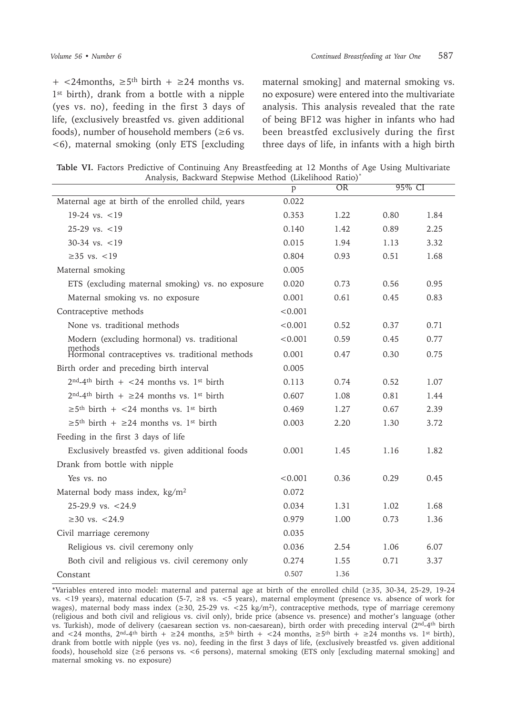+  $\lt$ 24months,  $\geq$ 5<sup>th</sup> birth +  $\geq$ 24 months vs. 1<sup>st</sup> birth), drank from a bottle with a nipple (yes vs. no), feeding in the first 3 days of life, (exclusively breastfed vs. given additional foods), number of household members ( $\geq 6$  vs. <6), maternal smoking (only ETS [excluding maternal smoking] and maternal smoking vs. no exposure) were entered into the multivariate analysis. This analysis revealed that the rate of being BF12 was higher in infants who had been breastfed exclusively during the first three days of life, in infants with a high birth

**Table VI.** Factors Predictive of Continuing Any Breastfeeding at 12 Months of Age Using Multivariate Analysis, Backward Stepwise Method (Likelihood Ratio)\*

|                                                                           | p       | OR   | 95% CI |      |
|---------------------------------------------------------------------------|---------|------|--------|------|
| Maternal age at birth of the enrolled child, years                        | 0.022   |      |        |      |
| 19-24 vs. $<$ 19                                                          | 0.353   | 1.22 | 0.80   | 1.84 |
| $25-29$ vs. $< 19$                                                        | 0.140   | 1.42 | 0.89   | 2.25 |
| 30-34 vs. $<$ 19                                                          | 0.015   | 1.94 | 1.13   | 3.32 |
| $\geq$ 35 vs. <19                                                         | 0.804   | 0.93 | 0.51   | 1.68 |
| Maternal smoking                                                          | 0.005   |      |        |      |
| ETS (excluding maternal smoking) vs. no exposure                          | 0.020   | 0.73 | 0.56   | 0.95 |
| Maternal smoking vs. no exposure                                          | 0.001   | 0.61 | 0.45   | 0.83 |
| Contraceptive methods                                                     | < 0.001 |      |        |      |
| None vs. traditional methods                                              | < 0.001 | 0.52 | 0.37   | 0.71 |
| Modern (excluding hormonal) vs. traditional                               | < 0.001 | 0.59 | 0.45   | 0.77 |
| methods<br>Hormonal contraceptives vs. traditional methods                | 0.001   | 0.47 | 0.30   | 0.75 |
| Birth order and preceding birth interval                                  | 0.005   |      |        |      |
| $2nd-4th$ birth + <24 months vs. 1 <sup>st</sup> birth                    | 0.113   | 0.74 | 0.52   | 1.07 |
| $2nd-4th$ birth + $\geq$ 24 months vs. 1 <sup>st</sup> birth              | 0.607   | 1.08 | 0.81   | 1.44 |
| $\geq$ 5 <sup>th</sup> birth + <24 months vs. 1 <sup>st</sup> birth       | 0.469   | 1.27 | 0.67   | 2.39 |
| $\geq 5$ <sup>th</sup> birth + $\geq 24$ months vs. 1 <sup>st</sup> birth | 0.003   | 2.20 | 1.30   | 3.72 |
| Feeding in the first 3 days of life                                       |         |      |        |      |
| Exclusively breastfed vs. given additional foods                          | 0.001   | 1.45 | 1.16   | 1.82 |
| Drank from bottle with nipple                                             |         |      |        |      |
| Yes vs. no                                                                | < 0.001 | 0.36 | 0.29   | 0.45 |
| Maternal body mass index, kg/m <sup>2</sup>                               | 0.072   |      |        |      |
| $25-29.9$ vs. $< 24.9$                                                    | 0.034   | 1.31 | 1.02   | 1.68 |
| $≥30$ vs. <24.9                                                           | 0.979   | 1.00 | 0.73   | 1.36 |
| Civil marriage ceremony                                                   | 0.035   |      |        |      |
| Religious vs. civil ceremony only                                         | 0.036   | 2.54 | 1.06   | 6.07 |
| Both civil and religious vs. civil ceremony only                          | 0.274   | 1.55 | 0.71   | 3.37 |
| Constant                                                                  | 0.507   | 1.36 |        |      |

\*Variables entered into model: maternal and paternal age at birth of the enrolled child (≥35, 30-34, 25-29, 19-24 vs. <19 years), maternal education (5-7, ≥8 vs. <5 years), maternal employment (presence vs. absence of work for wages), maternal body mass index (≥30, 25-29 vs. <25 kg/m<sup>2</sup>), contraceptive methods, type of marriage ceremony (religious and both civil and religious vs. civil only), bride price (absence vs. presence) and mother's language (other vs. Turkish), mode of delivery (caesarean section vs. non-caesarean), birth order with preceding interval (2<sup>nd</sup>-4<sup>th</sup> birth and <24 months,  $2^{nd}4^{th}$  birth + ≥24 months, ≥5<sup>th</sup> birth + <24 months, ≥5<sup>th</sup> birth + ≥24 months vs. 1<sup>st</sup> birth), drank from bottle with nipple (yes vs. no), feeding in the first 3 days of life, (exclusively breastfed vs. given additional foods), household size (≥6 persons vs. <6 persons), maternal smoking (ETS only [excluding maternal smoking] and maternal smoking vs. no exposure)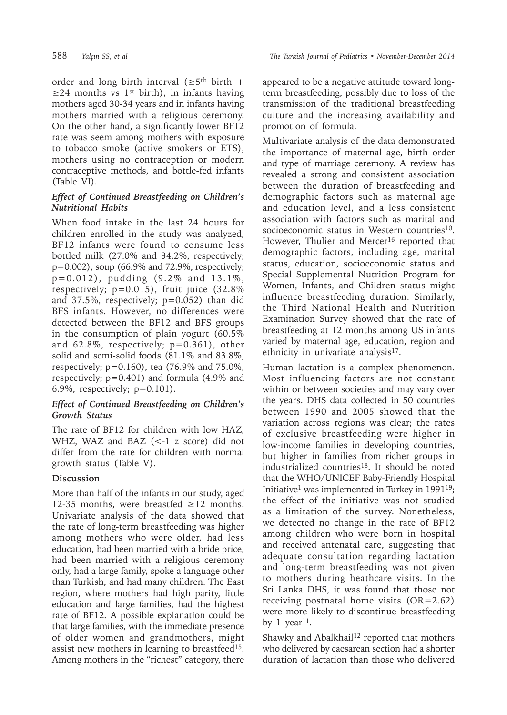order and long birth interval ( $\geq 5$ <sup>th</sup> birth +  $\geq$ 24 months vs 1<sup>st</sup> birth), in infants having mothers aged 30-34 years and in infants having mothers married with a religious ceremony. On the other hand, a significantly lower BF12 rate was seem among mothers with exposure to tobacco smoke (active smokers or ETS), mothers using no contraception or modern contraceptive methods, and bottle-fed infants (Table VI).

# *Effect of Continued Breastfeeding on Children's Nutritional Habits*

When food intake in the last 24 hours for children enrolled in the study was analyzed, BF12 infants were found to consume less bottled milk (27.0% and 34.2%, respectively; p=0.002), soup (66.9% and 72.9%, respectively; p=0.012), pudding (9.2% and 13.1%, respectively;  $p=0.015$ ), fruit juice (32.8%) and 37.5%, respectively; p=0.052) than did BFS infants. However, no differences were detected between the BF12 and BFS groups in the consumption of plain yogurt (60.5% and  $62.8\%$ , respectively;  $p=0.361$ ), other solid and semi-solid foods (81.1% and 83.8%, respectively;  $p=0.160$ ), tea (76.9% and 75.0%, respectively; p=0.401) and formula (4.9% and 6.9%, respectively; p=0.101).

# *Effect of Continued Breastfeeding on Children's Growth Status*

The rate of BF12 for children with low HAZ, WHZ, WAZ and BAZ (<-1 z score) did not differ from the rate for children with normal growth status (Table V).

# **Discussion**

More than half of the infants in our study, aged 12-35 months, were breastfed  $\geq$ 12 months. Univariate analysis of the data showed that the rate of long-term breastfeeding was higher among mothers who were older, had less education, had been married with a bride price, had been married with a religious ceremony only, had a large family, spoke a language other than Turkish, and had many children. The East region, where mothers had high parity, little education and large families, had the highest rate of BF12. A possible explanation could be that large families, with the immediate presence of older women and grandmothers, might assist new mothers in learning to breastfeed<sup>15</sup>. Among mothers in the "richest" category, there appeared to be a negative attitude toward longterm breastfeeding, possibly due to loss of the transmission of the traditional breastfeeding culture and the increasing availability and promotion of formula.

Multivariate analysis of the data demonstrated the importance of maternal age, birth order and type of marriage ceremony. A review has revealed a strong and consistent association between the duration of breastfeeding and demographic factors such as maternal age and education level, and a less consistent association with factors such as marital and socioeconomic status in Western countries<sup>10</sup>. However, Thulier and Mercer<sup>16</sup> reported that demographic factors, including age, marital status, education, socioeconomic status and Special Supplemental Nutrition Program for Women, Infants, and Children status might influence breastfeeding duration. Similarly, the Third National Health and Nutrition Examination Survey showed that the rate of breastfeeding at 12 months among US infants varied by maternal age, education, region and ethnicity in univariate analysis<sup>17</sup>.

Human lactation is a complex phenomenon. Most influencing factors are not constant within or between societies and may vary over the years. DHS data collected in 50 countries between 1990 and 2005 showed that the variation across regions was clear; the rates of exclusive breastfeeding were higher in low-income families in developing countries, but higher in families from richer groups in industrialized countries<sup>18</sup>. It should be noted that the WHO/UNICEF Baby-Friendly Hospital Initiative<sup>1</sup> was implemented in Turkey in 199119; the effect of the initiative was not studied as a limitation of the survey. Nonetheless, we detected no change in the rate of BF12 among children who were born in hospital and received antenatal care, suggesting that adequate consultation regarding lactation and long-term breastfeeding was not given to mothers during heathcare visits. In the Sri Lanka DHS, it was found that those not receiving postnatal home visits (OR=2.62) were more likely to discontinue breastfeeding by 1 year<sup>11</sup>.

Shawky and Abalkhail<sup>12</sup> reported that mothers who delivered by caesarean section had a shorter duration of lactation than those who delivered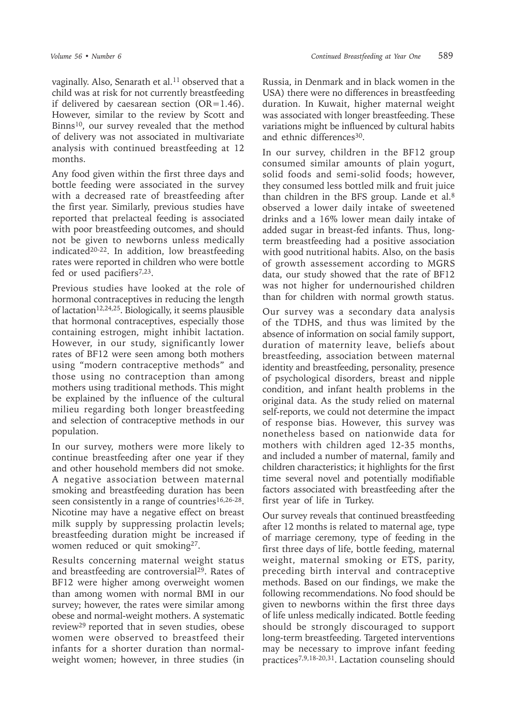vaginally. Also, Senarath et al. $11$  observed that a child was at risk for not currently breastfeeding if delivered by caesarean section  $(OR=1.46)$ . However, similar to the review by Scott and Binns10, our survey revealed that the method of delivery was not associated in multivariate analysis with continued breastfeeding at 12 months.

Any food given within the first three days and bottle feeding were associated in the survey with a decreased rate of breastfeeding after the first year. Similarly, previous studies have reported that prelacteal feeding is associated with poor breastfeeding outcomes, and should not be given to newborns unless medically indicated20-22. In addition, low breastfeeding rates were reported in children who were bottle fed or used pacifiers<sup>7,23</sup>.

Previous studies have looked at the role of hormonal contraceptives in reducing the length of lactation<sup>12,24,25</sup>. Biologically, it seems plausible that hormonal contraceptives, especially those containing estrogen, might inhibit lactation. However, in our study, significantly lower rates of BF12 were seen among both mothers using "modern contraceptive methods" and those using no contraception than among mothers using traditional methods. This might be explained by the influence of the cultural milieu regarding both longer breastfeeding and selection of contraceptive methods in our population.

In our survey, mothers were more likely to continue breastfeeding after one year if they and other household members did not smoke. A negative association between maternal smoking and breastfeeding duration has been seen consistently in a range of countries<sup>16,26-28</sup>. Nicotine may have a negative effect on breast milk supply by suppressing prolactin levels; breastfeeding duration might be increased if women reduced or quit smoking<sup>27</sup>.

Results concerning maternal weight status and breastfeeding are controversial<sup>29</sup>. Rates of BF12 were higher among overweight women than among women with normal BMI in our survey; however, the rates were similar among obese and normal-weight mothers. A systematic review29 reported that in seven studies, obese women were observed to breastfeed their infants for a shorter duration than normalweight women; however, in three studies (in

Russia, in Denmark and in black women in the USA) there were no differences in breastfeeding duration. In Kuwait, higher maternal weight was associated with longer breastfeeding. These variations might be influenced by cultural habits and ethnic differences30.

In our survey, children in the BF12 group consumed similar amounts of plain yogurt, solid foods and semi-solid foods; however, they consumed less bottled milk and fruit juice than children in the BFS group. Lande et al.8 observed a lower daily intake of sweetened drinks and a 16% lower mean daily intake of added sugar in breast-fed infants. Thus, longterm breastfeeding had a positive association with good nutritional habits. Also, on the basis of growth assessement according to MGRS data, our study showed that the rate of BF12 was not higher for undernourished children than for children with normal growth status.

Our survey was a secondary data analysis of the TDHS, and thus was limited by the absence of information on social family support, duration of maternity leave, beliefs about breastfeeding, association between maternal identity and breastfeeding, personality, presence of psychological disorders, breast and nipple condition, and infant health problems in the original data. As the study relied on maternal self-reports, we could not determine the impact of response bias. However, this survey was nonetheless based on nationwide data for mothers with children aged 12-35 months, and included a number of maternal, family and children characteristics; it highlights for the first time several novel and potentially modifiable factors associated with breastfeeding after the first year of life in Turkey.

Our survey reveals that continued breastfeeding after 12 months is related to maternal age, type of marriage ceremony, type of feeding in the first three days of life, bottle feeding, maternal weight, maternal smoking or ETS, parity, preceding birth interval and contraceptive methods. Based on our findings, we make the following recommendations. No food should be given to newborns within the first three days of life unless medically indicated. Bottle feeding should be strongly discouraged to support long-term breastfeeding. Targeted interventions may be necessary to improve infant feeding practices7,9,18-20,31. Lactation counseling should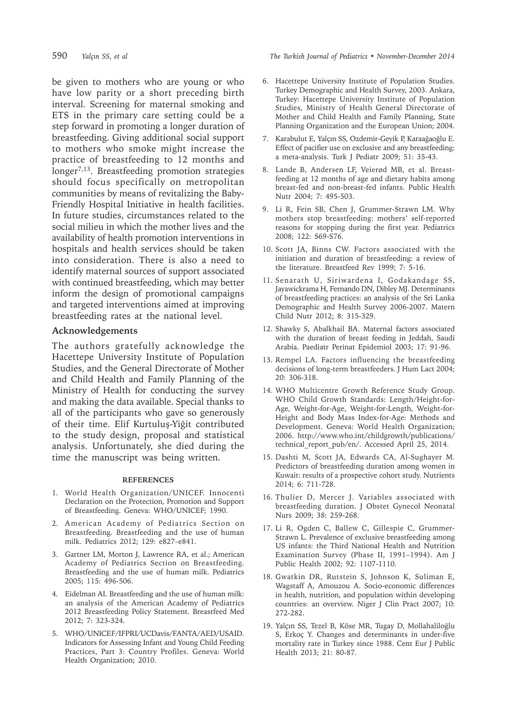be given to mothers who are young or who have low parity or a short preceding birth interval. Screening for maternal smoking and ETS in the primary care setting could be a step forward in promoting a longer duration of breastfeeding. Giving additional social support to mothers who smoke might increase the practice of breastfeeding to 12 months and longer7,13. Breastfeeding promotion strategies should focus specifically on metropolitan communities by means of revitalizing the Baby-Friendly Hospital Initiative in health facilities. In future studies, circumstances related to the social milieu in which the mother lives and the availability of health promotion interventions in hospitals and health services should be taken into consideration. There is also a need to identify maternal sources of support associated with continued breastfeeding, which may better inform the design of promotional campaigns and targeted interventions aimed at improving breastfeeding rates at the national level.

#### **Acknowledgements**

The authors gratefully acknowledge the Hacettepe University Institute of Population Studies, and the General Directorate of Mother and Child Health and Family Planning of the Ministry of Health for conducting the survey and making the data available. Special thanks to all of the participants who gave so generously of their time. Elif Kurtuluş-Yiğit contributed to the study design, proposal and statistical analysis. Unfortunately, she died during the time the manuscript was being written.

#### **REFERENCES**

- 1. World Health Organization/UNICEF. Innocenti Declaration on the Protection, Promotion and Support of Breastfeeding. Geneva: WHO/UNICEF; 1990.
- 2. American Academy of Pediatrics Section on Breastfeeding. Breastfeeding and the use of human milk. Pediatrics 2012; 129: e827–e841.
- 3. Gartner LM, Morton J, Lawrence RA, et al.; American Academy of Pediatrics Section on Breastfeeding. Breastfeeding and the use of human milk. Pediatrics 2005; 115: 496-506.
- 4. Eidelman AI. Breastfeeding and the use of human milk: an analysis of the American Academy of Pediatrics 2012 Breastfeeding Policy Statement. Breastfeed Med 2012; 7: 323-324.
- 5. WHO/UNICEF/IFPRI/UCDavis/FANTA/AED/USAID. Indicators for Assessing Infant and Young Child Feeding Practices, Part 3: Country Profiles. Geneva: World Health Organization; 2010.

590 *Yalçın SS, et al The Turkish Journal of Pediatrics • November-December 2014*

- 6. Hacettepe University Institute of Population Studies. Turkey Demographic and Health Survey, 2003. Ankara, Turkey: Hacettepe University Institute of Population Studies, Ministry of Health General Directorate of Mother and Child Health and Family Planning, State Planning Organization and the European Union; 2004.
- 7. Karabulut E, Yalçın SS, Ozdemir-Geyik P, Karaağaoğlu E. Effect of pacifier use on exclusive and any breastfeeding: a meta-analysis. Turk J Pediatr 2009; 51: 35-43.
- 8. Lande B, Andersen LF, Veierød MB, et al. Breastfeeding at 12 months of age and dietary habits among breast-fed and non-breast-fed infants. Public Health Nutr 2004; 7: 495-503.
- 9. Li R, Fein SB, Chen J, Grummer-Strawn LM. Why mothers stop breastfeeding: mothers' self-reported reasons for stopping during the first year. Pediatrics 2008; 122: S69-S76.
- 10. Scott JA, Binns CW. Factors associated with the initiation and duration of breastfeeding: a review of the literature. Breastfeed Rev 1999; 7: 5-16.
- 11. Senarath U, Siriwardena I, Godakandage SS, Jayawickrama H, Fernando DN, Dibley MJ. Determinants of breastfeeding practices: an analysis of the Sri Lanka Demographic and Health Survey 2006-2007. Matern Child Nutr 2012; 8: 315-329.
- 12. Shawky S, Abalkhail BA. Maternal factors associated with the duration of breast feeding in Jeddah, Saudi Arabia. Paediatr Perinat Epidemiol 2003; 17: 91-96.
- 13. Rempel LA. Factors influencing the breastfeeding decisions of long-term breastfeeders. J Hum Lact 2004; 20: 306-318.
- 14. WHO Multicentre Growth Reference Study Group. WHO Child Growth Standards: Length/Height-for-Age, Weight-for-Age, Weight-for-Length, Weight-for-Height and Body Mass Index-for-Age: Methods and Development. Geneva: World Health Organization; 2006. http://www.who.int/childgrowth/publications/ technical report pub/en/. Accessed April 25, 2014.
- 15. Dashti M, Scott JA, Edwards CA, Al-Sughayer M. Predictors of breastfeeding duration among women in Kuwait: results of a prospective cohort study. Nutrients 2014; 6: 711-728.
- 16. Thulier D, Mercer J. Variables associated with breastfeeding duration. J Obstet Gynecol Neonatal Nurs 2009; 38: 259-268.
- 17. Li R, Ogden C, Ballew C, Gillespie C, Grummer-Strawn L. Prevalence of exclusive breastfeeding among US infants: the Third National Health and Nutrition Examination Survey (Phase II, 1991–1994). Am J Public Health 2002; 92: 1107-1110.
- 18. Gwatkin DR, Rutstein S, Johnson K, Suliman E, Wagstaff A, Amouzou A. Socio-economic differences in health, nutrition, and population within developing countries: an overview. Niger J Clin Pract 2007; 10: 272-282.
- 19. Yalçın SS, Tezel B, Köse MR, Tugay D, Mollahaliloğlu S, Erkoç Y. Changes and determinants in under-five mortality rate in Turkey since 1988. Cent Eur J Public Health 2013; 21: 80-87.